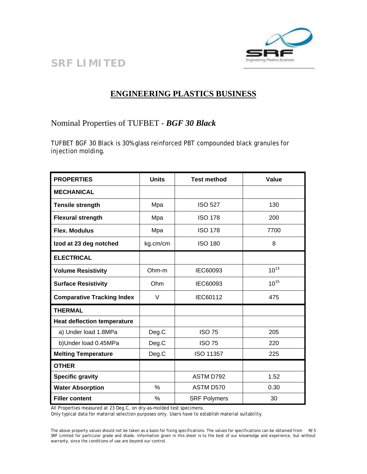

## **SRF LIMITED**

## **ENGINEERING PLASTICS BUSINESS**

Nominal Properties of TUFBET - *BGF 30 Black*

TUFBET BGF 30 Black is 30% glass reinforced PBT compounded black granules for injection molding.

| <b>PROPERTIES</b>                  | <b>Units</b>  | <b>Test method</b>  | Value     |
|------------------------------------|---------------|---------------------|-----------|
| <b>MECHANICAL</b>                  |               |                     |           |
| <b>Tensile strength</b>            | Mpa           | <b>ISO 527</b>      | 130       |
| <b>Flexural strength</b>           | Mpa           | <b>ISO 178</b>      | 200       |
| <b>Flex. Modulus</b>               | Mpa           | <b>ISO 178</b>      | 7700      |
| Izod at 23 deg notched             | kg.cm/cm      | <b>ISO 180</b>      | 8         |
| <b>ELECTRICAL</b>                  |               |                     |           |
| <b>Volume Resistivity</b>          | $Ohm-m$       | IEC60093            | $10^{13}$ |
| <b>Surface Resistivity</b>         | Ohm           | IEC60093            | $10^{15}$ |
| <b>Comparative Tracking Index</b>  | $\vee$        | IEC60112            | 475       |
| <b>THERMAL</b>                     |               |                     |           |
| <b>Heat deflection temperature</b> |               |                     |           |
| a) Under load 1.8MPa               | Deg.C         | <b>ISO 75</b>       | 205       |
| b)Under load 0.45MPa               | Deg.C         | <b>ISO 75</b>       | 220       |
| <b>Melting Temperature</b>         | Deg.C         | <b>ISO 11357</b>    | 225       |
| <b>OTHER</b>                       |               |                     |           |
| <b>Specific gravity</b>            |               | ASTM D792           | 1.52      |
| <b>Water Absorption</b>            | $\frac{0}{0}$ | ASTM D570           | 0.30      |
| <b>Filler content</b>              | %             | <b>SRF Polymers</b> | 30        |

All Properties measured at 23 Deg.C, on dry-as-molded test specimens.

Only typical data for material selection purposes only. Users have to establish material suitability.

The above property values should not be taken as a basis for fixing specifications. The values for specifications can be obtained from M/S SRF Limited for particular grade and shade. Information given in this sheet is to the best of our knowledge and experience, but without warranty, since the conditions of use are beyond our control.